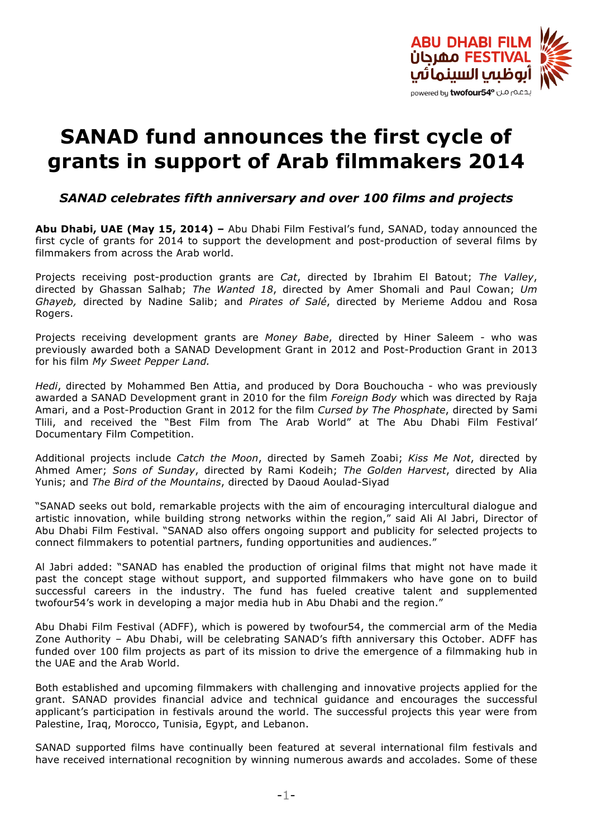

# **SANAD fund announces the first cycle of grants in support of Arab filmmakers 2014**

*SANAD celebrates fifth anniversary and over 100 films and projects*

**Abu Dhabi, UAE (May 15, 2014) –** Abu Dhabi Film Festival's fund, SANAD, today announced the first cycle of grants for 2014 to support the development and post-production of several films by filmmakers from across the Arab world.

Projects receiving post-production grants are *Cat*, directed by Ibrahim El Batout; *The Valley*, directed by Ghassan Salhab; *The Wanted 18*, directed by Amer Shomali and Paul Cowan; *Um Ghayeb,* directed by Nadine Salib; and *Pirates of Salé*, directed by Merieme Addou and Rosa Rogers.

Projects receiving development grants are *Money Babe*, directed by Hiner Saleem - who was previously awarded both a SANAD Development Grant in 2012 and Post-Production Grant in 2013 for his film *My Sweet Pepper Land.*

*Hedi*, directed by Mohammed Ben Attia, and produced by Dora Bouchoucha - who was previously awarded a SANAD Development grant in 2010 for the film *Foreign Body* which was directed by Raja Amari, and a Post-Production Grant in 2012 for the film *Cursed by The Phosphate*, directed by Sami Tlili, and received the "Best Film from The Arab World" at The Abu Dhabi Film Festival' Documentary Film Competition.

Additional projects include *Catch the Moon*, directed by Sameh Zoabi; *Kiss Me Not*, directed by Ahmed Amer; *Sons of Sunday*, directed by Rami Kodeih; *The Golden Harvest*, directed by Alia Yunis; and *The Bird of the Mountains*, directed by Daoud Aoulad-Siyad

"SANAD seeks out bold, remarkable projects with the aim of encouraging intercultural dialogue and artistic innovation, while building strong networks within the region," said Ali Al Jabri, Director of Abu Dhabi Film Festival. "SANAD also offers ongoing support and publicity for selected projects to connect filmmakers to potential partners, funding opportunities and audiences."

Al Jabri added: "SANAD has enabled the production of original films that might not have made it past the concept stage without support, and supported filmmakers who have gone on to build successful careers in the industry. The fund has fueled creative talent and supplemented twofour54's work in developing a major media hub in Abu Dhabi and the region."

Abu Dhabi Film Festival (ADFF), which is powered by twofour54, the commercial arm of the Media Zone Authority – Abu Dhabi, will be celebrating SANAD's fifth anniversary this October. ADFF has funded over 100 film projects as part of its mission to drive the emergence of a filmmaking hub in the UAE and the Arab World.

Both established and upcoming filmmakers with challenging and innovative projects applied for the grant. SANAD provides financial advice and technical guidance and encourages the successful applicant's participation in festivals around the world. The successful projects this year were from Palestine, Iraq, Morocco, Tunisia, Egypt, and Lebanon.

SANAD supported films have continually been featured at several international film festivals and have received international recognition by winning numerous awards and accolades. Some of these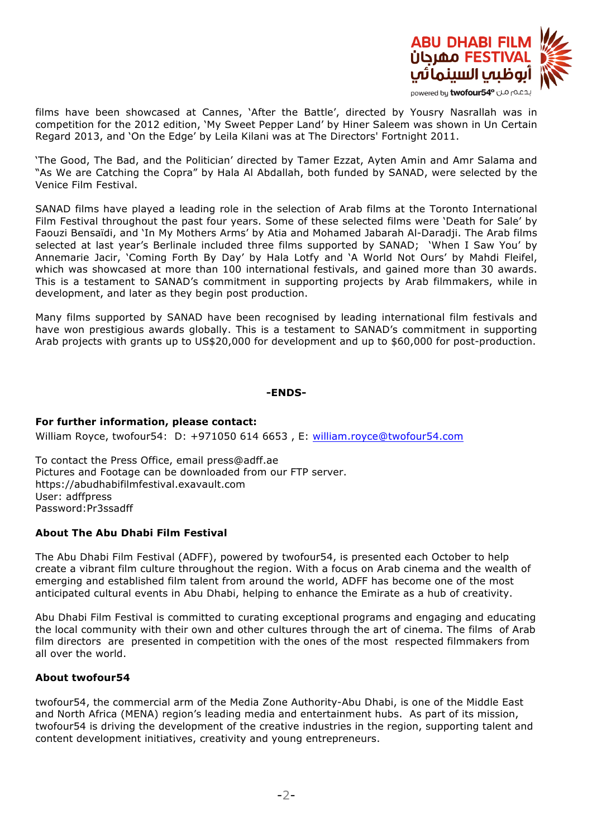

films have been showcased at Cannes, 'After the Battle', directed by Yousry Nasrallah was in competition for the 2012 edition, 'My Sweet Pepper Land' by Hiner Saleem was shown in Un Certain Regard 2013, and 'On the Edge' by Leila Kilani was at The Directors' Fortnight 2011.

'The Good, The Bad, and the Politician' directed by Tamer Ezzat, Ayten Amin and Amr Salama and "As We are Catching the Copra" by Hala Al Abdallah, both funded by SANAD, were selected by the Venice Film Festival.

SANAD films have played a leading role in the selection of Arab films at the Toronto International Film Festival throughout the past four years. Some of these selected films were 'Death for Sale' by Faouzi Bensaïdi, and 'In My Mothers Arms' by Atia and Mohamed Jabarah Al-Daradji. The Arab films selected at last year's Berlinale included three films supported by SANAD; 'When I Saw You' by Annemarie Jacir, 'Coming Forth By Day' by Hala Lotfy and 'A World Not Ours' by Mahdi Fleifel, which was showcased at more than 100 international festivals, and gained more than 30 awards. This is a testament to SANAD's commitment in supporting projects by Arab filmmakers, while in development, and later as they begin post production.

Many films supported by SANAD have been recognised by leading international film festivals and have won prestigious awards globally. This is a testament to SANAD's commitment in supporting Arab projects with grants up to US\$20,000 for development and up to \$60,000 for post-production.

### **-ENDS-**

## **For further information, please contact:**

William Royce, twofour54: D: +971050 614 6653 , E: william.royce@twofour54.com

To contact the Press Office, email press@adff.ae Pictures and Footage can be downloaded from our FTP server. https://abudhabifilmfestival.exavault.com User: adffpress Password:Pr3ssadff

## **About The Abu Dhabi Film Festival**

The Abu Dhabi Film Festival (ADFF), powered by twofour54, is presented each October to help create a vibrant film culture throughout the region. With a focus on Arab cinema and the wealth of emerging and established film talent from around the world, ADFF has become one of the most anticipated cultural events in Abu Dhabi, helping to enhance the Emirate as a hub of creativity.

Abu Dhabi Film Festival is committed to curating exceptional programs and engaging and educating the local community with their own and other cultures through the art of cinema. The films of Arab film directors are presented in competition with the ones of the most respected filmmakers from all over the world.

## **About twofour54**

twofour54, the commercial arm of the Media Zone Authority-Abu Dhabi, is one of the Middle East and North Africa (MENA) region's leading media and entertainment hubs. As part of its mission, twofour54 is driving the development of the creative industries in the region, supporting talent and content development initiatives, creativity and young entrepreneurs.